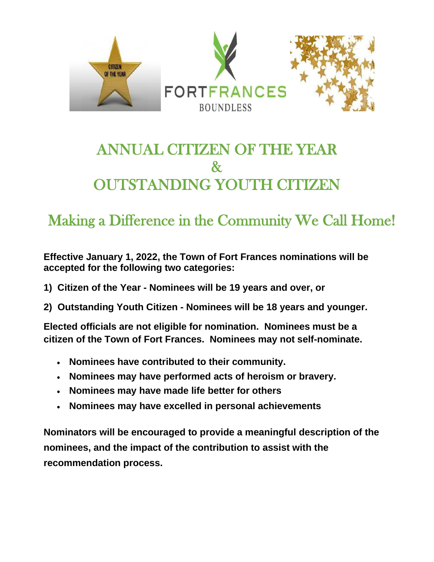

# ANNUAL CITIZEN OF THE YEAR  $\mathcal{X}$ OUTSTANDING YOUTH CITIZEN

# Making a Difference in the Community We Call Home!

**Effective January 1, 2022, the Town of Fort Frances nominations will be accepted for the following two categories:**

- **1) Citizen of the Year - Nominees will be 19 years and over, or**
- **2) Outstanding Youth Citizen - Nominees will be 18 years and younger.**

**Elected officials are not eligible for nomination. Nominees must be a citizen of the Town of Fort Frances. Nominees may not self-nominate.**

- **Nominees have contributed to their community.**
- **Nominees may have performed acts of heroism or bravery.**
- **Nominees may have made life better for others**
- **Nominees may have excelled in personal achievements**

**Nominators will be encouraged to provide a meaningful description of the nominees, and the impact of the contribution to assist with the recommendation process.**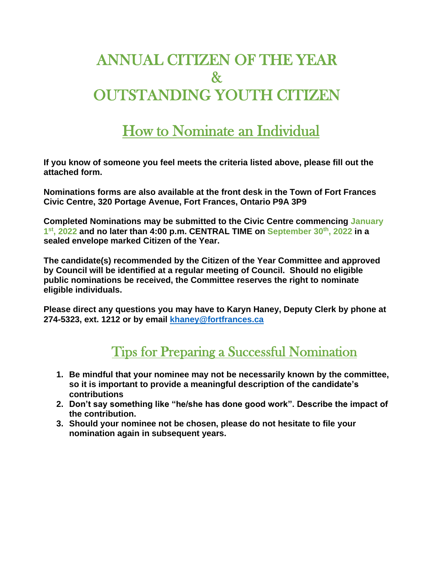# ANNUAL CITIZEN OF THE YEAR & OUTSTANDING YOUTH CITIZEN

## How to Nominate an Individual

**If you know of someone you feel meets the criteria listed above, please fill out the attached form.**

**Nominations forms are also available at the front desk in the Town of Fort Frances Civic Centre, 320 Portage Avenue, Fort Frances, Ontario P9A 3P9**

**Completed Nominations may be submitted to the Civic Centre commencing January 1 st , 2022 and no later than 4:00 p.m. CENTRAL TIME on September 30th , 2022 in a sealed envelope marked Citizen of the Year.**

**The candidate(s) recommended by the Citizen of the Year Committee and approved by Council will be identified at a regular meeting of Council. Should no eligible public nominations be received, the Committee reserves the right to nominate eligible individuals.**

**Please direct any questions you may have to Karyn Haney, Deputy Clerk by phone at 274-5323, ext. 1212 or by email [khaney@fortfrances.ca](mailto:khaney@fortfrances.ca)**

### Tips for Preparing a Successful Nomination

- **1. Be mindful that your nominee may not be necessarily known by the committee, so it is important to provide a meaningful description of the candidate's contributions**
- **2. Don't say something like "he/she has done good work". Describe the impact of the contribution.**
- **3. Should your nominee not be chosen, please do not hesitate to file your nomination again in subsequent years.**